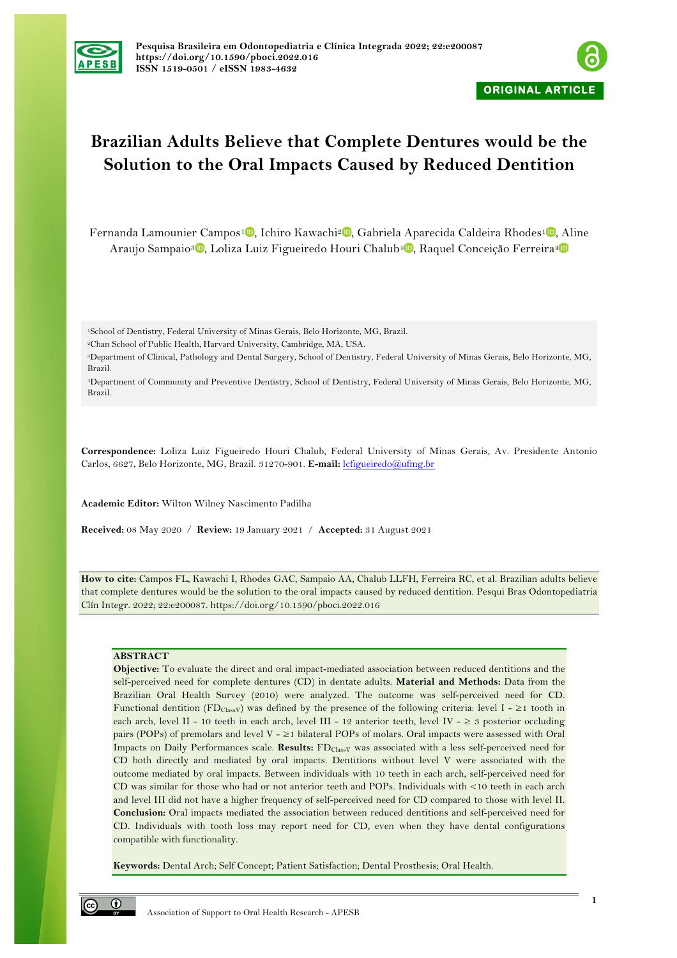



# **Brazilian Adults Believe that Complete Dentures would be the Solution to the Oral Impacts Caused by Reduced Dentition**

Fernanda Lamounier Campos<sup>[1](https://orcid.org/0000-0002-4772-8088)</sup><sup>0</sup>[,](https://orcid.org/0000-0001-9339-2821) Ichiro Kawachi<sup>2</sup><sup>0</sup>, Gabriela Aparecida Caldeira Rhodes<sup>1</sup><sup>0</sup>, Aline Araujo Sampaio<sup>3</sup><sup>0</sup>[,](https://orcid.org/0000-0002-0892-9047) Loliza Luiz Figueiredo Houri Chalub<sup>4</sup><sup>0</sup>, Raquel Conceição Ferreira<sup>4</sup><sup>0</sup>

1School of Dentistry, Federal University of Minas Gerais, Belo Horizonte, MG, Brazil.

2Chan School of Public Health, Harvard University, Cambridge, MA, USA.

3Department of Clinical, Pathology and Dental Surgery, School of Dentistry, Federal University of Minas Gerais, Belo Horizonte, MG, Brazil.

4Department of Community and Preventive Dentistry, School of Dentistry, Federal University of Minas Gerais, Belo Horizonte, MG, Brazil.

**Correspondence:** Loliza Luiz Figueiredo Houri Chalub, Federal University of Minas Gerais, Av. Presidente Antonio Carlos, 6627, Belo Horizonte, MG, Brazil. 31270-901. **E-mail:** lcfigueiredo@ufmg.br

**Academic Editor:** Wilton Wilney Nascimento Padilha

**Received:** 08 May 2020 / **Review:** 19 January 2021 / **Accepted:** 31 August 2021

**How to cite:** Campos FL, Kawachi I, Rhodes GAC, Sampaio AA, Chalub LLFH, Ferreira RC, et al. Brazilian adults believe that complete dentures would be the solution to the oral impacts caused by reduced dentition. Pesqui Bras Odontopediatria Clín Integr. 2022; 22:e200087. https://doi.org/10.1590/pboci.2022.016

# **ABSTRACT**

**Objective:** To evaluate the direct and oral impact-mediated association between reduced dentitions and the self-perceived need for complete dentures (CD) in dentate adults. **Material and Methods:** Data from the Brazilian Oral Health Survey (2010) were analyzed. The outcome was self-perceived need for CD. Functional dentition (FD<sub>ClassV</sub>) was defined by the presence of the following criteria: level I - ≥1 tooth in each arch, level II - 10 teeth in each arch, level III - 12 anterior teeth, level IV -  $\geq$  3 posterior occluding pairs (POPs) of premolars and level V - ≥1 bilateral POPs of molars. Oral impacts were assessed with Oral Impacts on Daily Performances scale. **Results:** FDClassV was associated with a less self-perceived need for CD both directly and mediated by oral impacts. Dentitions without level V were associated with the outcome mediated by oral impacts. Between individuals with 10 teeth in each arch, self-perceived need for CD was similar for those who had or not anterior teeth and POPs. Individuals with <10 teeth in each arch and level III did not have a higher frequency of self-perceived need for CD compared to those with level II. **Conclusion:** Oral impacts mediated the association between reduced dentitions and self-perceived need for CD. Individuals with tooth loss may report need for CD, even when they have dental configurations compatible with functionality.

**Keywords:** Dental Arch; Self Concept; Patient Satisfaction; Dental Prosthesis; Oral Health.

 $\odot$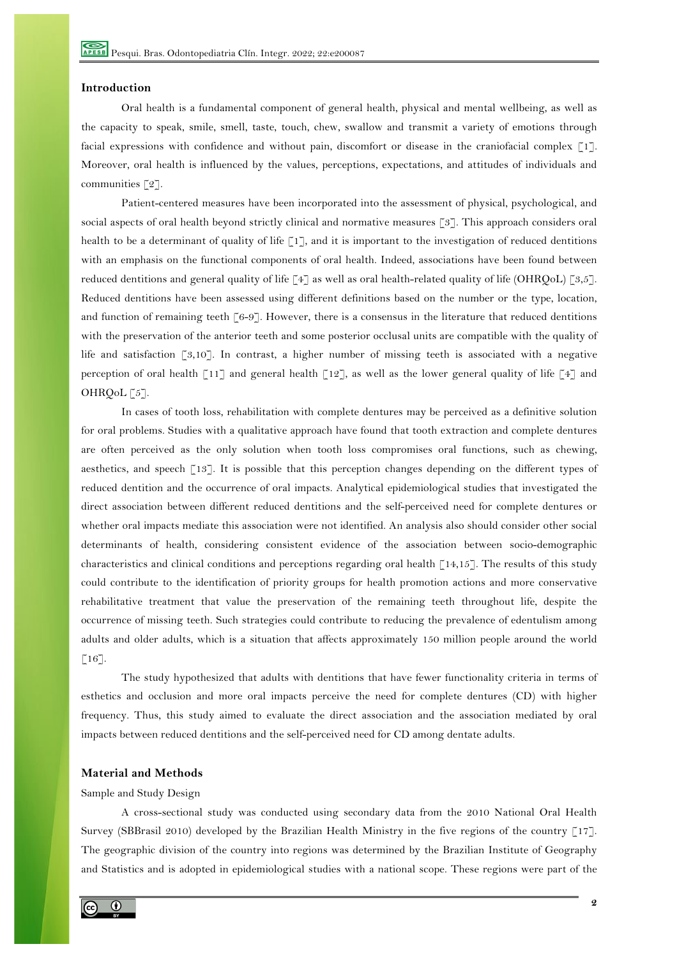#### **Introduction**

Oral health is a fundamental component of general health, physical and mental wellbeing, as well as the capacity to speak, smile, smell, taste, touch, chew, swallow and transmit a variety of emotions through facial expressions with confidence and without pain, discomfort or disease in the craniofacial complex [1]. Moreover, oral health is influenced by the values, perceptions, expectations, and attitudes of individuals and communities [2].

Patient-centered measures have been incorporated into the assessment of physical, psychological, and social aspects of oral health beyond strictly clinical and normative measures [3]. This approach considers oral health to be a determinant of quality of life [1], and it is important to the investigation of reduced dentitions with an emphasis on the functional components of oral health. Indeed, associations have been found between reduced dentitions and general quality of life [4] as well as oral health-related quality of life (OHRQoL) [3,5]. Reduced dentitions have been assessed using different definitions based on the number or the type, location, and function of remaining teeth [6-9]. However, there is a consensus in the literature that reduced dentitions with the preservation of the anterior teeth and some posterior occlusal units are compatible with the quality of life and satisfaction [3,10]. In contrast, a higher number of missing teeth is associated with a negative perception of oral health [11] and general health [12], as well as the lower general quality of life [4] and OHRQoL [5].

In cases of tooth loss, rehabilitation with complete dentures may be perceived as a definitive solution for oral problems. Studies with a qualitative approach have found that tooth extraction and complete dentures are often perceived as the only solution when tooth loss compromises oral functions, such as chewing, aesthetics, and speech [13]. It is possible that this perception changes depending on the different types of reduced dentition and the occurrence of oral impacts. Analytical epidemiological studies that investigated the direct association between different reduced dentitions and the self-perceived need for complete dentures or whether oral impacts mediate this association were not identified. An analysis also should consider other social determinants of health, considering consistent evidence of the association between socio-demographic characteristics and clinical conditions and perceptions regarding oral health  $\lceil 14,15 \rceil$ . The results of this study could contribute to the identification of priority groups for health promotion actions and more conservative rehabilitative treatment that value the preservation of the remaining teeth throughout life, despite the occurrence of missing teeth. Such strategies could contribute to reducing the prevalence of edentulism among adults and older adults, which is a situation that affects approximately 150 million people around the world  $\lceil 16 \rceil$ .

The study hypothesized that adults with dentitions that have fewer functionality criteria in terms of esthetics and occlusion and more oral impacts perceive the need for complete dentures (CD) with higher frequency. Thus, this study aimed to evaluate the direct association and the association mediated by oral impacts between reduced dentitions and the self-perceived need for CD among dentate adults.

# **Material and Methods**

# Sample and Study Design

A cross-sectional study was conducted using secondary data from the 2010 National Oral Health Survey (SBBrasil 2010) developed by the Brazilian Health Ministry in the five regions of the country [17]. The geographic division of the country into regions was determined by the Brazilian Institute of Geography and Statistics and is adopted in epidemiological studies with a national scope. These regions were part of the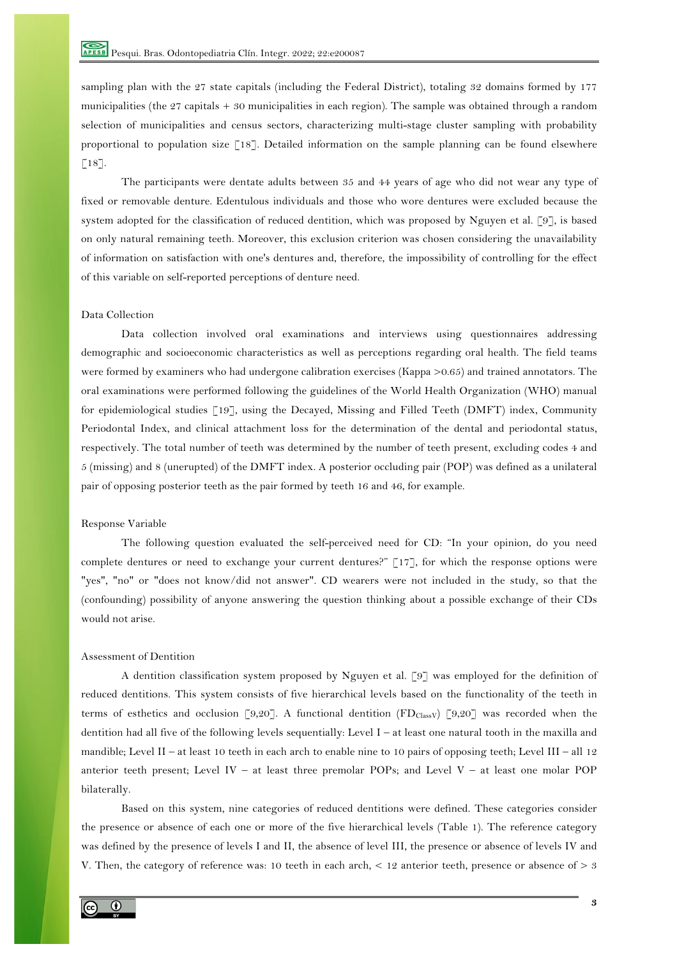sampling plan with the 27 state capitals (including the Federal District), totaling 32 domains formed by 177 municipalities (the 27 capitals + 30 municipalities in each region). The sample was obtained through a random selection of municipalities and census sectors, characterizing multi-stage cluster sampling with probability proportional to population size [18]. Detailed information on the sample planning can be found elsewhere  $\lceil 18 \rceil$ .

The participants were dentate adults between 35 and 44 years of age who did not wear any type of fixed or removable denture. Edentulous individuals and those who wore dentures were excluded because the system adopted for the classification of reduced dentition, which was proposed by Nguyen et al. [9], is based on only natural remaining teeth. Moreover, this exclusion criterion was chosen considering the unavailability of information on satisfaction with one's dentures and, therefore, the impossibility of controlling for the effect of this variable on self-reported perceptions of denture need.

# Data Collection

Data collection involved oral examinations and interviews using questionnaires addressing demographic and socioeconomic characteristics as well as perceptions regarding oral health. The field teams were formed by examiners who had undergone calibration exercises (Kappa >0.65) and trained annotators. The oral examinations were performed following the guidelines of the World Health Organization (WHO) manual for epidemiological studies [19], using the Decayed, Missing and Filled Teeth (DMFT) index, Community Periodontal Index, and clinical attachment loss for the determination of the dental and periodontal status, respectively. The total number of teeth was determined by the number of teeth present, excluding codes 4 and 5 (missing) and 8 (unerupted) of the DMFT index. A posterior occluding pair (POP) was defined as a unilateral pair of opposing posterior teeth as the pair formed by teeth 16 and 46, for example.

## Response Variable

The following question evaluated the self-perceived need for CD: "In your opinion, do you need complete dentures or need to exchange your current dentures?" [17], for which the response options were "yes", "no" or "does not know/did not answer". CD wearers were not included in the study, so that the (confounding) possibility of anyone answering the question thinking about a possible exchange of their CDs would not arise.

# Assessment of Dentition

A dentition classification system proposed by Nguyen et al. [9] was employed for the definition of reduced dentitions. This system consists of five hierarchical levels based on the functionality of the teeth in terms of esthetics and occlusion [9,20]. A functional dentition (FD $_{\text{Class}}$ ) [9,20] was recorded when the dentition had all five of the following levels sequentially: Level I – at least one natural tooth in the maxilla and mandible; Level II – at least 10 teeth in each arch to enable nine to 10 pairs of opposing teeth; Level III – all 12 anterior teeth present; Level IV – at least three premolar POPs; and Level V – at least one molar POP bilaterally.

Based on this system, nine categories of reduced dentitions were defined. These categories consider the presence or absence of each one or more of the five hierarchical levels (Table 1). The reference category was defined by the presence of levels I and II, the absence of level III, the presence or absence of levels IV and V. Then, the category of reference was: 10 teeth in each arch,  $\lt 12$  anterior teeth, presence or absence of  $> 3$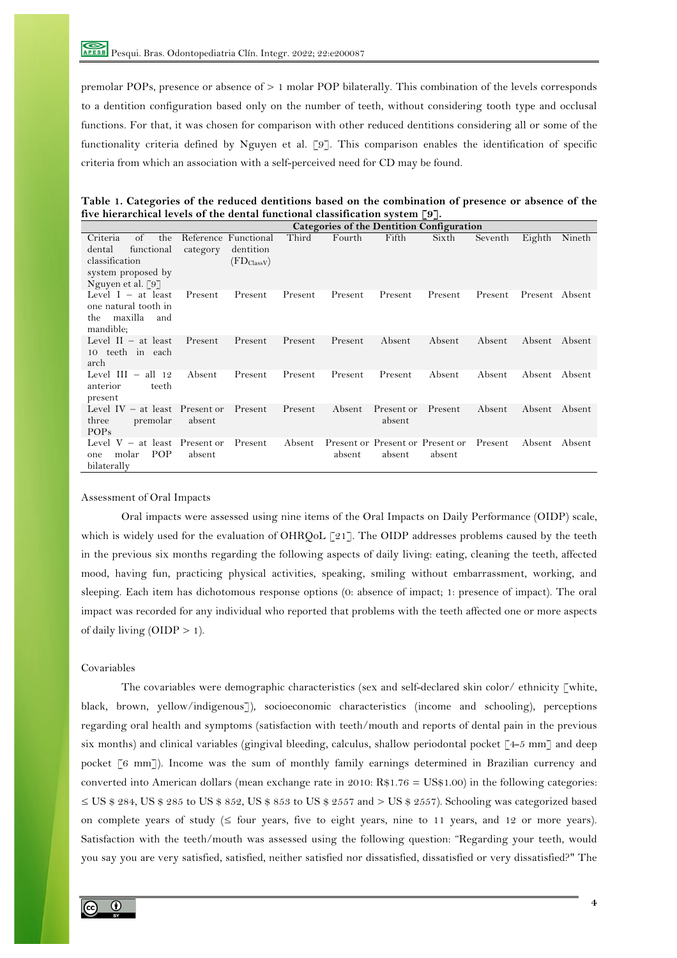premolar POPs, presence or absence of > 1 molar POP bilaterally. This combination of the levels corresponds to a dentition configuration based only on the number of teeth, without considering tooth type and occlusal functions. For that, it was chosen for comparison with other reduced dentitions considering all or some of the functionality criteria defined by Nguyen et al. [9]. This comparison enables the identification of specific criteria from which an association with a self-perceived need for CD may be found.

**Table 1. Categories of the reduced dentitions based on the combination of presence or absence of the five hierarchical levels of the dental functional classification system [9].**

|                                                                                                                                  |          |                                                            |         |         |                                            | Categories of the Dentition Configuration |         |                |        |
|----------------------------------------------------------------------------------------------------------------------------------|----------|------------------------------------------------------------|---------|---------|--------------------------------------------|-------------------------------------------|---------|----------------|--------|
| $\sigma$ f<br>the<br>Criteria<br>dental<br>functional<br>classification<br>system proposed by<br>Nguyen et al. $\lceil 9 \rceil$ | category | Reference Functional<br>dentition<br>$(FD_{\text{Class}})$ | Third   | Fourth  | Fifth                                      | Sixth                                     | Seventh | Eighth         | Nineth |
| Level $I - at$ least<br>one natural tooth in<br>maxilla<br>the<br>and<br>mandible;                                               | Present  | Present                                                    | Present | Present | Present                                    | Present                                   | Present | Present Absent |        |
| Level $II - at least$<br>10 teeth in each<br>arch                                                                                | Present  | Present                                                    | Present | Present | Absent                                     | Absent                                    | Absent  | Absent Absent  |        |
| Level $III - all 12$<br>anterior<br>teeth<br>present                                                                             | Absent   | Present                                                    | Present | Present | Present                                    | Absent                                    | Absent  | Absent         | Absent |
| Level $IV - at least$ Present or<br>three<br>premolar<br><b>POPs</b>                                                             | absent   | Present                                                    | Present | Absent  | Present or<br>absent                       | Present                                   | Absent  | Absent         | Absent |
| Level $V - at least$ Present or<br><b>POP</b><br>molar<br>one<br>bilaterally                                                     | absent   | Present                                                    | Absent  | absent  | Present or Present or Present or<br>absent | absent                                    | Present | Absent         | Absent |

Assessment of Oral Impacts

Oral impacts were assessed using nine items of the Oral Impacts on Daily Performance (OIDP) scale, which is widely used for the evaluation of OHRQoL [21]. The OIDP addresses problems caused by the teeth in the previous six months regarding the following aspects of daily living: eating, cleaning the teeth, affected mood, having fun, practicing physical activities, speaking, smiling without embarrassment, working, and sleeping. Each item has dichotomous response options (0: absence of impact; 1: presence of impact). The oral impact was recorded for any individual who reported that problems with the teeth affected one or more aspects of daily living  $(OIDP > 1)$ .

# Covariables

The covariables were demographic characteristics (sex and self-declared skin color/ ethnicity [white, black, brown, yellow/indigenous]), socioeconomic characteristics (income and schooling), perceptions regarding oral health and symptoms (satisfaction with teeth/mouth and reports of dental pain in the previous six months) and clinical variables (gingival bleeding, calculus, shallow periodontal pocket  $[4-5 \text{ mm}]$  and deep pocket [6 mm]). Income was the sum of monthly family earnings determined in Brazilian currency and converted into American dollars (mean exchange rate in 2010:  $R$1.76 = US$1.00$ ) in the following categories:  $\leq$  US \$ 284, US \$ 285 to US \$ 852, US \$ 853 to US \$ 2557 and  $>$  US \$ 2557). Schooling was categorized based on complete years of study  $(\leq)$  four years, five to eight years, nine to 11 years, and 12 or more years). Satisfaction with the teeth/mouth was assessed using the following question: "Regarding your teeth, would you say you are very satisfied, satisfied, neither satisfied nor dissatisfied, dissatisfied or very dissatisfied?" The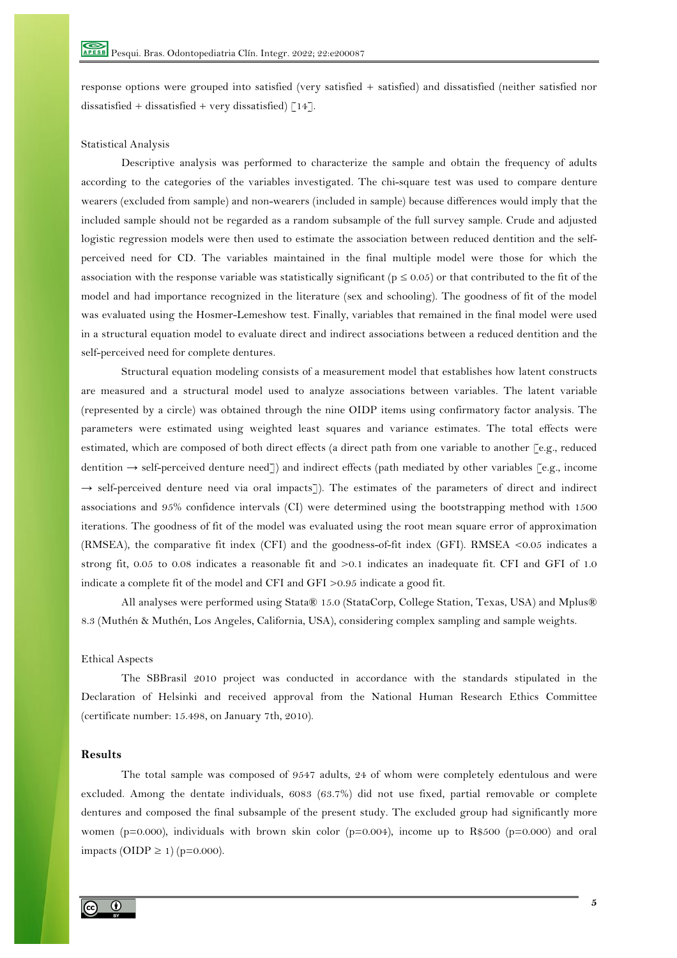response options were grouped into satisfied (very satisfied + satisfied) and dissatisfied (neither satisfied nor dissatisfied + dissatisfied + very dissatisfied)  $[14]$ .

# Statistical Analysis

Descriptive analysis was performed to characterize the sample and obtain the frequency of adults according to the categories of the variables investigated. The chi-square test was used to compare denture wearers (excluded from sample) and non-wearers (included in sample) because differences would imply that the included sample should not be regarded as a random subsample of the full survey sample. Crude and adjusted logistic regression models were then used to estimate the association between reduced dentition and the selfperceived need for CD. The variables maintained in the final multiple model were those for which the association with the response variable was statistically significant ( $p \le 0.05$ ) or that contributed to the fit of the model and had importance recognized in the literature (sex and schooling). The goodness of fit of the model was evaluated using the Hosmer-Lemeshow test. Finally, variables that remained in the final model were used in a structural equation model to evaluate direct and indirect associations between a reduced dentition and the self-perceived need for complete dentures.

Structural equation modeling consists of a measurement model that establishes how latent constructs are measured and a structural model used to analyze associations between variables. The latent variable (represented by a circle) was obtained through the nine OIDP items using confirmatory factor analysis. The parameters were estimated using weighted least squares and variance estimates. The total effects were estimated, which are composed of both direct effects (a direct path from one variable to another [e.g., reduced dentition → self-perceived denture need]) and indirect effects (path mediated by other variables [e.g., income  $\rightarrow$  self-perceived denture need via oral impacts]). The estimates of the parameters of direct and indirect associations and 95% confidence intervals (CI) were determined using the bootstrapping method with 1500 iterations. The goodness of fit of the model was evaluated using the root mean square error of approximation (RMSEA), the comparative fit index (CFI) and the goodness-of-fit index (GFI). RMSEA <0.05 indicates a strong fit, 0.05 to 0.08 indicates a reasonable fit and  $>0.1$  indicates an inadequate fit. CFI and GFI of 1.0 indicate a complete fit of the model and CFI and GFI >0.95 indicate a good fit.

All analyses were performed using Stata® 15.0 (StataCorp, College Station, Texas, USA) and Mplus® 8.3 (Muthén & Muthén, Los Angeles, California, USA), considering complex sampling and sample weights.

#### Ethical Aspects

The SBBrasil 2010 project was conducted in accordance with the standards stipulated in the Declaration of Helsinki and received approval from the National Human Research Ethics Committee (certificate number: 15.498, on January 7th, 2010).

# **Results**

The total sample was composed of 9547 adults, 24 of whom were completely edentulous and were excluded. Among the dentate individuals, 6083 (63.7%) did not use fixed, partial removable or complete dentures and composed the final subsample of the present study. The excluded group had significantly more women (p=0.000), individuals with brown skin color (p=0.004), income up to R\$500 (p=0.000) and oral impacts (OIDP ≥ 1) ( $p=0.000$ ).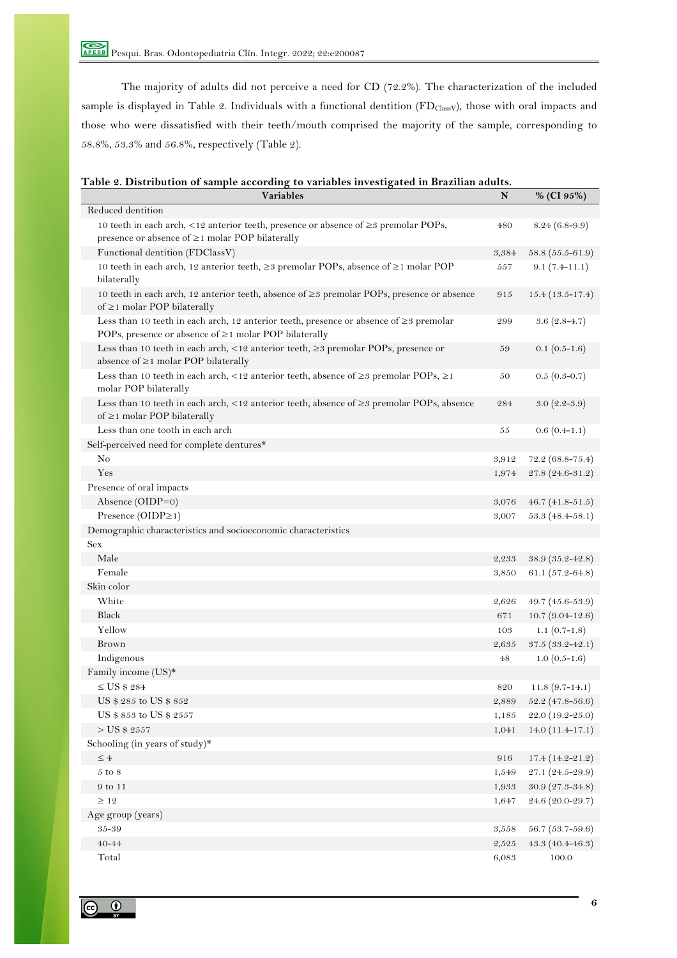Pesqui. Bras. Odontopediatria Clín. Integr. 2022; 22:e200087

The majority of adults did not perceive a need for CD (72.2%). The characterization of the included sample is displayed in Table 2. Individuals with a functional dentition (FDClassV), those with oral impacts and those who were dissatisfied with their teeth/mouth comprised the majority of the sample, corresponding to 58.8%, 53.3% and 56.8%, respectively (Table 2).

| <b>Variables</b>                                                                                                                                                    | N     | % (CI 95%)           |
|---------------------------------------------------------------------------------------------------------------------------------------------------------------------|-------|----------------------|
| Reduced dentition                                                                                                                                                   |       |                      |
| 10 teeth in each arch, $\langle 12 \rangle$ anterior teeth, presence or absence of $\geq$ 3 premolar POPs,<br>presence or absence of $\geq$ 1 molar POP bilaterally | 480   | $8.24(6.8-9.9)$      |
| Functional dentition (FDClassV)                                                                                                                                     | 3,384 | $58.8(55.5-61.9)$    |
| 10 teeth in each arch, 12 anterior teeth, $\geq$ premolar POPs, absence of $\geq$ 1 molar POP<br>bilaterally                                                        | 557   | $9.1(7.4-11.1)$      |
| 10 teeth in each arch, 12 anterior teeth, absence of $\geq$ 9 premolar POPs, presence or absence<br>of $\geq$ 1 molar POP bilaterally                               | 915   | $15.4(13.5-17.4)$    |
| Less than 10 teeth in each arch, 12 anterior teeth, presence or absence of $\geq$ 3 premolar<br>POPs, presence or absence of ≥1 molar POP bilaterally               | 299   | $3.6(2.8-4.7)$       |
| Less than 10 teeth in each arch, <12 anterior teeth, ≥3 premolar POPs, presence or<br>absence of $\geq$ 1 molar POP bilaterally                                     | 59    | $0.1(0.5-1.6)$       |
| Less than 10 teeth in each arch, <12 anterior teeth, absence of $\geq$ 3 premolar POPs, $\geq$ 1<br>molar POP bilaterally                                           | 50    | $0.5(0.3-0.7)$       |
| Less than 10 teeth in each arch, <12 anterior teeth, absence of $\geq$ 9 premolar POPs, absence<br>of $\geq$ 1 molar POP bilaterally                                | 284   | $3.0(2.2 - 3.9)$     |
| Less than one tooth in each arch                                                                                                                                    | 55    | $0.6(0.4-1.1)$       |
| Self-perceived need for complete dentures*                                                                                                                          |       |                      |
| No                                                                                                                                                                  | 3,912 | $72.2(68.8 - 75.4)$  |
| Yes                                                                                                                                                                 | 1,974 | $27.8(24.6 - 31.2)$  |
| Presence of oral impacts                                                                                                                                            |       |                      |
| Absence (OIDP=0)                                                                                                                                                    | 3,076 | $46.7(41.8-51.5)$    |
| Presence $(OIDP \ge 1)$                                                                                                                                             | 3,007 | $53.3(48.4 - 58.1)$  |
| Demographic characteristics and socioeconomic characteristics                                                                                                       |       |                      |
| <b>Sex</b>                                                                                                                                                          |       |                      |
| Male                                                                                                                                                                | 2,233 | $38.9(35.2 - 42.8)$  |
| Female                                                                                                                                                              | 3,850 | 61.1 $(57.2 - 64.8)$ |
| Skin color                                                                                                                                                          |       |                      |
| White                                                                                                                                                               | 2,626 | $49.7(45.6-53.9)$    |
| Black                                                                                                                                                               | 671   | $10.7 (9.04 - 12.6)$ |
| Yellow                                                                                                                                                              | 103   | $1.1(0.7-1.8)$       |
| Brown                                                                                                                                                               | 2,635 | $37.5(33.2 - 42.1)$  |
| Indigenous                                                                                                                                                          | 48    | $1.0(0.5-1.6)$       |
| Family income (US)*                                                                                                                                                 |       |                      |
| $\leq$ US \$ 284                                                                                                                                                    | 820   | $11.8(9.7-14.1)$     |
| US \$ 285 to US \$ 852                                                                                                                                              | 2,889 | $52.2$ (47.8-56.6)   |
| US \$ 853 to US \$ 2557                                                                                                                                             | 1,185 | 22.0 (19.2-25.0)     |
| $>$ US \$ 2557                                                                                                                                                      | 1,041 | $14.0(11.4-17.1)$    |
| Schooling (in years of study)*                                                                                                                                      |       |                      |
| $\leq 4$                                                                                                                                                            | 916   | $17.4(14.2 - 21.2)$  |
| $5$ to $8$                                                                                                                                                          | 1,549 | 27.1 (24.5-29.9)     |
| 9 to 11                                                                                                                                                             | 1,933 | $30.9(27.3 - 34.8)$  |
| $\geq$ 12                                                                                                                                                           | 1,647 | 24.6 (20.0-29.7)     |
| Age group (years)                                                                                                                                                   |       |                      |
| 35-39                                                                                                                                                               | 3,558 | $56.7(53.7-59.6)$    |
| $40 - 44$                                                                                                                                                           | 2,525 | 43.3 $(40.4 - 46.3)$ |
| Total                                                                                                                                                               | 6,083 | $100.0\,$            |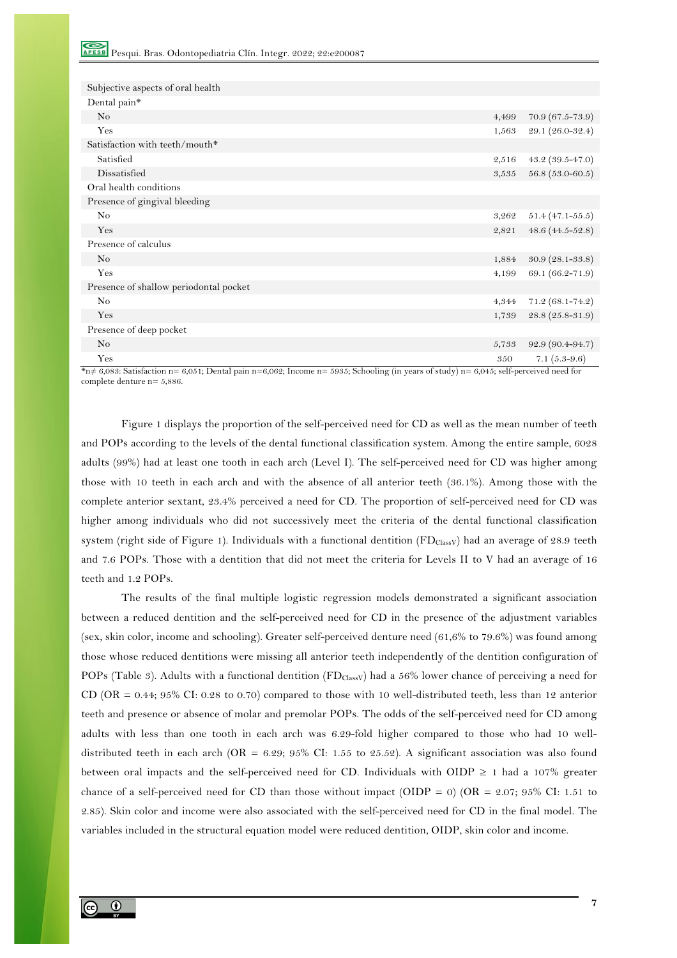| Subjective aspects of oral health      |       |                      |
|----------------------------------------|-------|----------------------|
| Dental pain*                           |       |                      |
| N <sub>o</sub>                         | 4,499 | $70.9(67.5 - 73.9)$  |
| Yes                                    | 1,563 | 29.1 (26.0-32.4)     |
| Satisfaction with teeth/mouth*         |       |                      |
| Satisfied                              | 2,516 | 43.2 $(39.5 - 47.0)$ |
| Dissatisfied                           | 3,535 | $56.8(53.0-60.5)$    |
| Oral health conditions                 |       |                      |
| Presence of gingival bleeding          |       |                      |
| N <sub>o</sub>                         | 3,262 | $51.4(47.1 - 55.5)$  |
| Yes                                    | 2,821 | 48.6 $(44.5 - 52.8)$ |
| Presence of calculus                   |       |                      |
| No                                     | 1,884 | $30.9(28.1 - 33.8)$  |
| Yes                                    | 4,199 | 69.1 (66.2-71.9)     |
| Presence of shallow periodontal pocket |       |                      |
| N <sub>o</sub>                         | 4,344 | $71.2(68.1 - 74.2)$  |
| Yes                                    | 1,739 | $28.8(25.8 - 31.9)$  |
| Presence of deep pocket                |       |                      |
| No                                     | 5,733 | $92.9(90.4 - 94.7)$  |
| Yes                                    | 350   | 7.1 $(5.3-9.6)$      |

\*n≠ 6,083: Satisfaction n= 6,051; Dental pain n=6,062; Income n= 5935; Schooling (in years of study) n= 6,045; self-perceived need for complete denture  $n=5,886$ .

Figure 1 displays the proportion of the self-perceived need for CD as well as the mean number of teeth and POPs according to the levels of the dental functional classification system. Among the entire sample, 6028 adults (99%) had at least one tooth in each arch (Level I). The self-perceived need for CD was higher among those with 10 teeth in each arch and with the absence of all anterior teeth (36.1%). Among those with the complete anterior sextant, 23.4% perceived a need for CD. The proportion of self-perceived need for CD was higher among individuals who did not successively meet the criteria of the dental functional classification system (right side of Figure 1). Individuals with a functional dentition (FDClassV) had an average of 28.9 teeth and 7.6 POPs. Those with a dentition that did not meet the criteria for Levels II to V had an average of 16 teeth and 1.2 POPs.

The results of the final multiple logistic regression models demonstrated a significant association between a reduced dentition and the self-perceived need for CD in the presence of the adjustment variables (sex, skin color, income and schooling). Greater self-perceived denture need (61,6% to 79.6%) was found among those whose reduced dentitions were missing all anterior teeth independently of the dentition configuration of POPs (Table 3). Adults with a functional dentition (FD<sub>ClassV</sub>) had a 56% lower chance of perceiving a need for CD (OR = 0.44;  $95\%$  CI: 0.28 to 0.70) compared to those with 10 well-distributed teeth, less than 12 anterior teeth and presence or absence of molar and premolar POPs. The odds of the self-perceived need for CD among adults with less than one tooth in each arch was 6.29-fold higher compared to those who had 10 welldistributed teeth in each arch (OR = 6.29; 95% CI: 1.55 to 25.52). A significant association was also found between oral impacts and the self-perceived need for CD. Individuals with OIDP  $\geq 1$  had a 107% greater chance of a self-perceived need for CD than those without impact (OIDP = 0) (OR =  $2.07$ ; 95% CI: 1.51 to 2.85). Skin color and income were also associated with the self-perceived need for CD in the final model. The variables included in the structural equation model were reduced dentition, OIDP, skin color and income.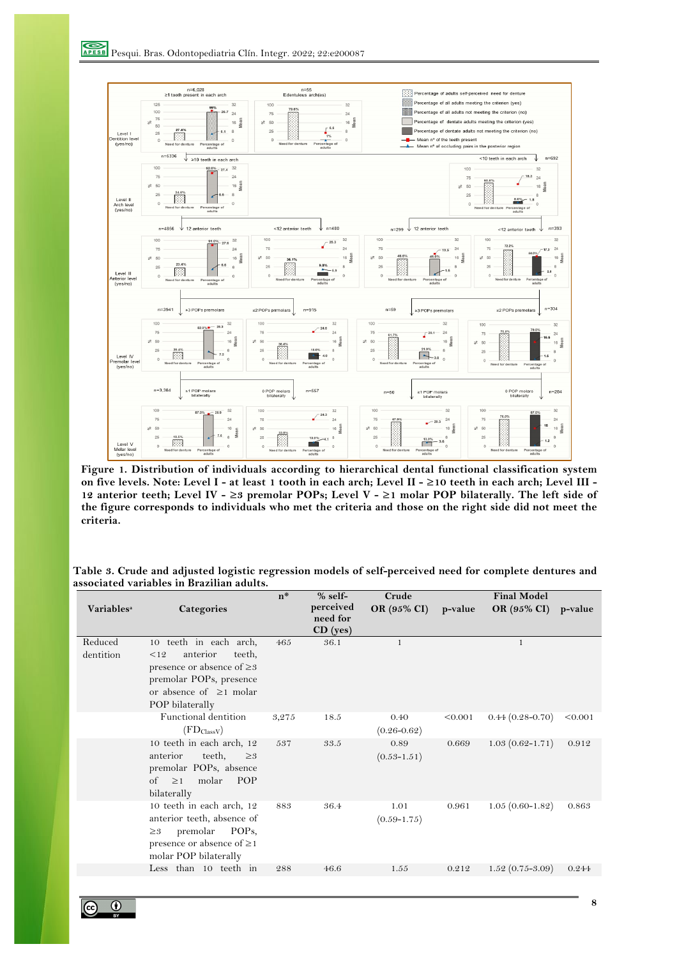

**Figure 1. Distribution of individuals according to hierarchical dental functional classification system on five levels. Note: Level I - at least 1 tooth in each arch; Level II - ≥10 teeth in each arch; Level III - 12 anterior teeth; Level IV - ≥3 premolar POPs; Level V - ≥1 molar POP bilaterally. The left side of the figure corresponds to individuals who met the criteria and those on the right side did not meet the criteria.**

**Table 3. Crude and adjusted logistic regression models of self-perceived need for complete dentures and associated variables in Brazilian adults.**

| <b>Variables</b> <sup>a</sup> | Categories                                                                                                                                                           | $n^*$ | $% self-$<br>perceived<br>need for<br>CD (yes) | Crude<br>OR (95% CI)    | p-value | <b>Final Model</b><br>OR (95% CI) | p-value |
|-------------------------------|----------------------------------------------------------------------------------------------------------------------------------------------------------------------|-------|------------------------------------------------|-------------------------|---------|-----------------------------------|---------|
| Reduced<br>dentition          | 10 teeth in each arch,<br>anterior<br>teeth,<br><12<br>presence or absence of $\geq$ 3<br>premolar POPs, presence<br>or absence of $\geq$ 1 molar<br>POP bilaterally | 465   | 36.1                                           | $\mathbf{1}$            |         | 1                                 |         |
|                               | Functional dentition<br>$(FD_{\text{Class}})$                                                                                                                        | 3,275 | 18.5                                           | 0.40<br>$(0.26 - 0.62)$ | < 0.001 | $0.44(0.28 - 0.70)$               | < 0.001 |
|                               | 10 teeth in each arch, 12<br>teeth,<br>anterior<br>$\geq 3$<br>premolar POPs, absence<br>of<br>molar<br><b>POP</b><br>$\geq$ 1<br>bilaterally                        | 537   | 33.5                                           | 0.89<br>$(0.53 - 1.51)$ | 0.669   | $1.03(0.62 - 1.71)$               | 0.912   |
|                               | 10 teeth in each arch, 12<br>anterior teeth, absence of<br>premolar<br>POPs,<br>$\geq 3$<br>presence or absence of $\geq$ 1<br>molar POP bilaterally                 | 883   | 36.4                                           | 1.01<br>$(0.59 - 1.75)$ | 0.961   | $1.05(0.60-1.82)$                 | 0.863   |
|                               | Less than 10 teeth in                                                                                                                                                | 288   | 46.6                                           | 1.55                    | 0.212   | $1.52(0.75 - 3.09)$               | 0.244   |
|                               |                                                                                                                                                                      |       |                                                |                         |         |                                   |         |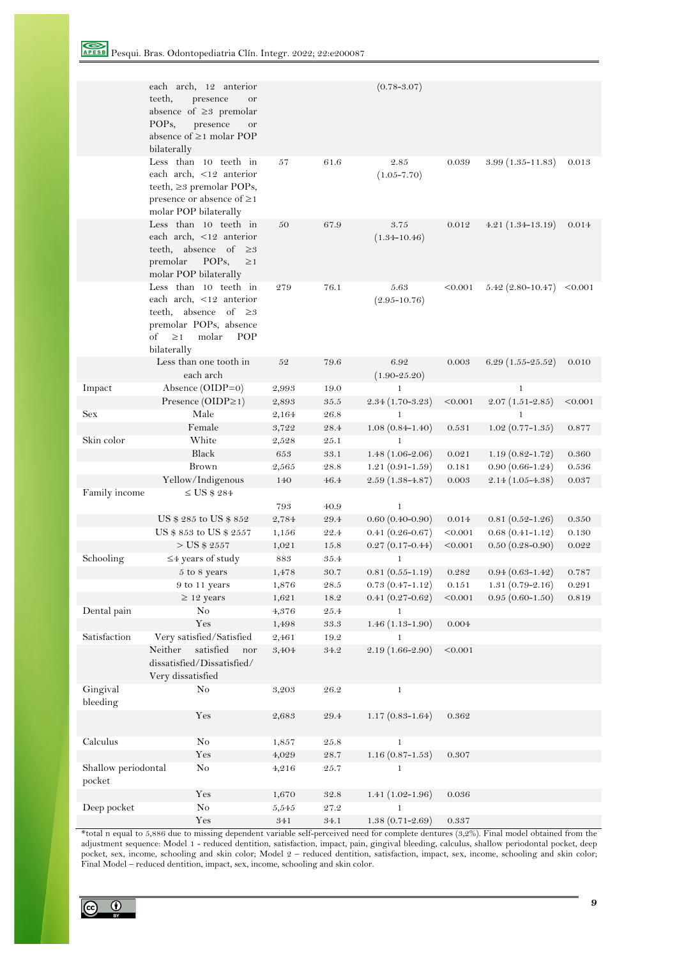Pesqui. Bras. Odontopediatria Clín. Integr. 2022; 22:e200087

|                               | each arch, 12 anterior<br>teeth,<br>presence<br>or<br>absence of $\geq$ premolar<br>POP <sub>s</sub> ,<br>presence<br>or<br>absence of $\geq$ 1 molar POP<br>bilaterally |           |                     | $(0.78 - 3.07)$          |         |                      |         |
|-------------------------------|--------------------------------------------------------------------------------------------------------------------------------------------------------------------------|-----------|---------------------|--------------------------|---------|----------------------|---------|
|                               | Less than 10 teeth in<br>each arch, <12 anterior<br>teeth, ≥3 premolar POPs,<br>presence or absence of $\geq$ 1<br>molar POP bilaterally                                 | 57        | 61.6                | 2.85<br>$(1.05 - 7.70)$  | 0.039   | $3.99(1.35 - 11.83)$ | 0.013   |
|                               | Less than 10 teeth in<br>each arch, <12 anterior<br>teeth, absence of $\geq 3$<br>premolar<br>POPs,<br>$\geq$ 1<br>molar POP bilaterally                                 | 50        | 67.9                | 3.75<br>$(1.34 - 10.46)$ | 0.012   | $4.21(1.34-13.19)$   | 0.014   |
|                               | Less than 10 teeth in<br>each arch, <12 anterior<br>teeth, absence of $\geq 3$<br>premolar POPs, absence<br>of<br>$\geq$ 1<br>molar<br><b>POP</b><br>bilaterally         | 279       | 76.1                | 5.63<br>$(2.95 - 10.76)$ | < 0.001 | $5.42$ (2.80-10.47)  | < 0.001 |
|                               | Less than one tooth in<br>each arch                                                                                                                                      | 52        | 79.6                | 6.92<br>$(1.90 - 25.20)$ | 0.003   | $6.29(1.55-25.52)$   | 0.010   |
| Impact                        | Absence (OIDP=0)                                                                                                                                                         | 2,993     | 19.0                | $\mathbf{1}$             |         | 1                    |         |
|                               | Presence (OIDP≥1)                                                                                                                                                        | 2,893     | $35.5\,$            | $2.34(1.70-3.23)$        | < 0.001 | $2.07(1.51 - 2.85)$  | < 0.001 |
| Sex                           | Male                                                                                                                                                                     | 2,164     | $26.8\,$            | 1                        |         | 1                    |         |
|                               | Female                                                                                                                                                                   | 3,722     | 28.4                | $1.08(0.84 - 1.40)$      | 0.531   | $1.02(0.77-1.35)$    | 0.877   |
| Skin color                    | White                                                                                                                                                                    | 2,528     | 25.1                | 1                        |         |                      |         |
|                               | Black                                                                                                                                                                    | 653       | 33.1                | $1.48(1.06-2.06)$        | 0.021   | $1.19(0.82 - 1.72)$  | 0.360   |
|                               | Brown                                                                                                                                                                    | 2,565     | 28.8                | $1.21(0.91 - 1.59)$      | 0.181   | $0.90(0.66 - 1.24)$  | 0.536   |
|                               | Yellow/Indigenous                                                                                                                                                        | 140       | 46.4                | $2.59(1.38 - 4.87)$      | 0.003   | $2.14(1.05-4.38)$    | 0.037   |
| Family income                 | $\leq$ US \$ 284                                                                                                                                                         |           |                     |                          |         |                      |         |
|                               |                                                                                                                                                                          | 793       | 40.9                | $\mathbf{1}$             |         |                      |         |
|                               | US \$ 285 to US \$ 852                                                                                                                                                   | 2,784     | 29.4                | $0.60(0.40-0.90)$        | 0.014   | $0.81(0.52 - 1.26)$  | 0.350   |
|                               | US \$ 853 to US \$ 2557                                                                                                                                                  | 1,156     | $\mathbf{22.4}$     | $0.41(0.26 - 0.67)$      | < 0.001 | $0.68(0.41 - 1.12)$  | 0.130   |
|                               | $>$ US \$ 2557                                                                                                                                                           | 1,021     | 15.8                | $0.27(0.17-0.44)$        | < 0.001 | $0.50(0.28-0.90)$    | 0.022   |
| Schooling                     | $\leq$ 4 years of study                                                                                                                                                  | $\bf 883$ | 35.4                | $\mathbf{1}$             |         |                      |         |
|                               | 5 to 8 years                                                                                                                                                             | 1,478     | 30.7                | $0.81(0.55-1.19)$        | 0.282   | $0.94(0.63 - 1.42)$  | 0.787   |
|                               | 9 to 11 years                                                                                                                                                            | 1,876     | 28.5                | $0.73(0.47 - 1.12)$      | 0.151   | $1.31(0.79 - 2.16)$  | 0.291   |
|                               | $\geq$ 12 years                                                                                                                                                          | 1,621     | 18.2                | $0.41(0.27 - 0.62)$      | < 0.001 | $0.95(0.60-1.50)$    | 0.819   |
| Dental pain                   | No                                                                                                                                                                       | 4,376     | $25.4\,$            | $\mathbf{1}$             |         |                      |         |
|                               | Yes                                                                                                                                                                      | 1,498     | 33.3                | $1.46(1.13-1.90)$        | 0.004   |                      |         |
| Satisfaction                  | Very satisfied/Satisfied                                                                                                                                                 | 2,461     | 19.2                | 1                        |         |                      |         |
|                               | Neither<br>satisfied<br>nor<br>dissatisfied/Dissatisfied/<br>Very dissatisfied                                                                                           | 3,404     | $34.2\,$            | 2.19 (1.66-2.90)         | < 0.001 |                      |         |
| Gingival<br>bleeding          | No                                                                                                                                                                       | 3,203     | $26.2\,$            | $\mathbf{1}$             |         |                      |         |
|                               | Yes                                                                                                                                                                      | 2,683     | 29.4                | $1.17(0.83 - 1.64)$      | 0.362   |                      |         |
| Calculus                      | $\rm No$                                                                                                                                                                 | 1,857     | $25.8\,$            | $\mathbf{1}$             |         |                      |         |
|                               | $\operatorname{Yes}$                                                                                                                                                     | 4,029     | $\boldsymbol{28.7}$ | $1.16(0.87 - 1.53)$      | 0.307   |                      |         |
| Shallow periodontal<br>pocket | No                                                                                                                                                                       | 4,216     | 25.7                | $\mathbf{1}$             |         |                      |         |
|                               | Yes                                                                                                                                                                      | 1,670     | 32.8                | $1.41(1.02 - 1.96)$      | 0.036   |                      |         |
| Deep pocket                   | $\rm No$                                                                                                                                                                 | 5,545     | $27.2\,$            | $\mathbf{1}$             |         |                      |         |
|                               | Yes                                                                                                                                                                      | 341       | $34.1\,$            | $1.38(0.71 - 2.69)$      | 0.337   |                      |         |

\*total n equal to 5,886 due to missing dependent variable self-perceived need for complete dentures (3,2%). Final model obtained from the adjustment sequence: Model 1 - reduced dentition, satisfaction, impact, pain, gingival bleeding, calculus, shallow periodontal pocket, deep pocket, sex, income, schooling and skin color; Model 2 – reduced dentition, satisfaction, impact, sex, income, schooling and skin color; Final Model – reduced dentition, impact, sex, income, schooling and skin color.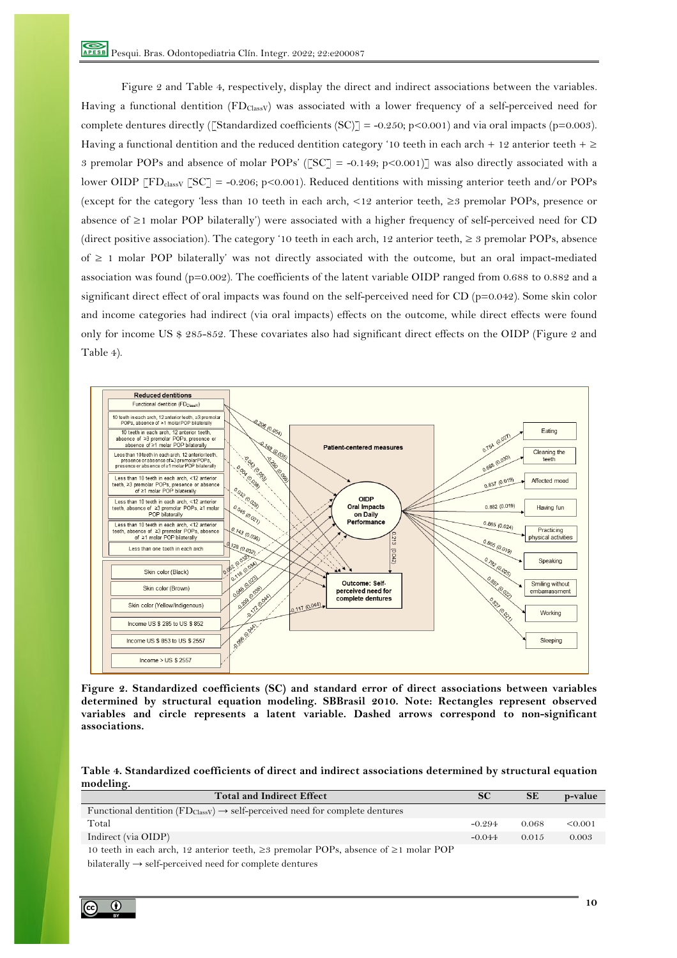Figure 2 and Table 4, respectively, display the direct and indirect associations between the variables. Having a functional dentition (FD<sub>ClassV</sub>) was associated with a lower frequency of a self-perceived need for complete dentures directly ([Standardized coefficients  $(SC)$ ] = -0.250; p<0.001) and via oral impacts (p=0.003). Having a functional dentition and the reduced dentition category '10 teeth in each arch + 12 anterior teeth +  $\geq$ 3 premolar POPs and absence of molar POPs' ( $\text{TSC}$ ] = -0.149; p<0.001)] was also directly associated with a lower OIDP  $\lceil FD_{\text{class}V} \rceil$   $\lceil SC \rceil = -0.206$ ; p<0.001). Reduced dentitions with missing anterior teeth and/or POPs (except for the category 'less than 10 teeth in each arch, <12 anterior teeth, ≥3 premolar POPs, presence or absence of ≥1 molar POP bilaterally') were associated with a higher frequency of self-perceived need for CD (direct positive association). The category '10 teeth in each arch, 12 anterior teeth,  $\geq$  3 premolar POPs, absence of ≥ 1 molar POP bilaterally' was not directly associated with the outcome, but an oral impact-mediated association was found (p=0.002). The coefficients of the latent variable OIDP ranged from 0.688 to 0.882 and a significant direct effect of oral impacts was found on the self-perceived need for  $CD$  ( $p=0.042$ ). Some skin color and income categories had indirect (via oral impacts) effects on the outcome, while direct effects were found only for income US \$ 285-852. These covariates also had significant direct effects on the OIDP (Figure 2 and Table 4).



**Figure 2. Standardized coefficients (SC) and standard error of direct associations between variables determined by structural equation modeling. SBBrasil 2010. Note: Rectangles represent observed variables and circle represents a latent variable. Dashed arrows correspond to non-significant associations.**

**Table 4. Standardized coefficients of direct and indirect associations determined by structural equation modeling.**

| <b>Total and Indirect Effect</b>                                                                        | <b>SC</b> | <b>SE</b> | p-value |
|---------------------------------------------------------------------------------------------------------|-----------|-----------|---------|
| Functional dentition $(FD_{\text{Class}}) \rightarrow \text{self-perceived need for complete dentures}$ |           |           |         |
| Total                                                                                                   | $-0.294$  | 0.068     | < 0.001 |
| Indirect (via OIDP)                                                                                     | $-0.044$  | 0.015     | 0.003   |
| 10 teeth in each arch, 12 anterior teeth, $\geq$ premolar POPs, absence of $\geq$ 1 molar POP           |           |           |         |
| bilaterally $\rightarrow$ self-perceived need for complete dentures                                     |           |           |         |

 $\odot$ @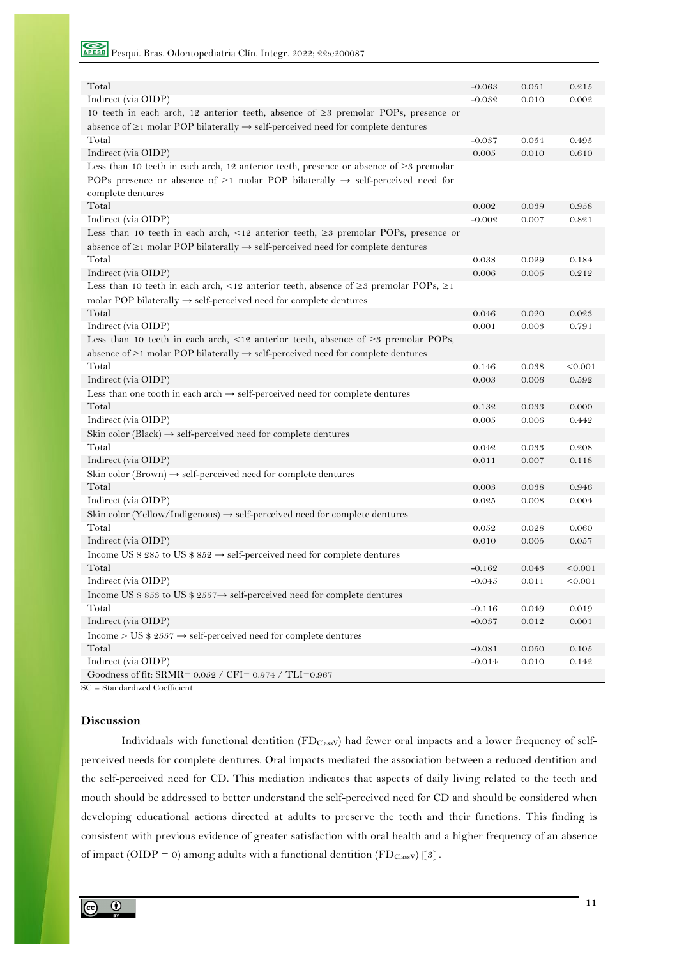Pesqui. Bras. Odontopediatria Clín. Integr. 2022; 22:e200087

| Total                                                                                                     | $-0.063$ | 0.051     | 0.215   |
|-----------------------------------------------------------------------------------------------------------|----------|-----------|---------|
| Indirect (via OIDP)                                                                                       | $-0.032$ | 0.010     | 0.002   |
| 10 teeth in each arch, 12 anterior teeth, absence of $\geq$ premolar POPs, presence or                    |          |           |         |
| absence of $\geq$ 1 molar POP bilaterally $\rightarrow$ self-perceived need for complete dentures         |          |           |         |
| Total                                                                                                     | $-0.037$ | 0.054     | 0.495   |
| Indirect (via OIDP)                                                                                       | 0.005    | 0.010     | 0.610   |
| Less than 10 teeth in each arch, 12 anterior teeth, presence or absence of $\geq$ premolar                |          |           |         |
| POPs presence or absence of $\geq$ 1 molar POP bilaterally $\rightarrow$ self-perceived need for          |          |           |         |
| complete dentures                                                                                         |          |           |         |
| Total                                                                                                     | 0.002    | 0.039     | 0.958   |
| Indirect (via OIDP)                                                                                       | $-0.002$ | 0.007     | 0.821   |
| Less than 10 teeth in each arch, <12 anterior teeth, $\geq$ premolar POPs, presence or                    |          |           |         |
| absence of $\geq$ 1 molar POP bilaterally $\rightarrow$ self-perceived need for complete dentures         |          |           |         |
| Total                                                                                                     | 0.038    | 0.029     | 0.184   |
| Indirect (via OIDP)                                                                                       | 0.006    | 0.005     | 0.212   |
| Less than 10 teeth in each arch, <12 anterior teeth, absence of $\geq$ premolar POPs, $\geq$ 1            |          |           |         |
| molar POP bilaterally $\rightarrow$ self-perceived need for complete dentures                             |          |           |         |
| Total                                                                                                     | 0.046    | 0.020     | 0.023   |
| Indirect (via OIDP)                                                                                       | 0.001    | 0.003     | 0.791   |
| Less than 10 teeth in each arch, $\langle 12 \rangle$ anterior teeth, absence of $\geq$ 23 premolar POPs, |          |           |         |
| absence of $\geq$ 1 molar POP bilaterally $\rightarrow$ self-perceived need for complete dentures         |          |           |         |
| Total                                                                                                     | 0.146    | 0.038     | < 0.001 |
| Indirect (via OIDP)                                                                                       | 0.003    | 0.006     | 0.592   |
| Less than one tooth in each arch $\rightarrow$ self-perceived need for complete dentures                  |          |           |         |
| Total                                                                                                     | 0.132    | 0.033     | 0.000   |
| Indirect (via OIDP)                                                                                       | 0.005    | 0.006     | 0.442   |
| Skin color (Black) $\rightarrow$ self-perceived need for complete dentures                                |          |           |         |
| Total                                                                                                     | 0.042    | 0.033     | 0.208   |
| Indirect (via OIDP)                                                                                       | 0.011    | 0.007     | 0.118   |
| Skin color (Brown) $\rightarrow$ self-perceived need for complete dentures                                |          |           |         |
| Total                                                                                                     | 0.003    | 0.038     | 0.946   |
| Indirect (via OIDP)                                                                                       | 0.025    | 0.008     | 0.004   |
| Skin color (Yellow/Indigenous) $\rightarrow$ self-perceived need for complete dentures                    |          |           |         |
| Total                                                                                                     | 0.052    | 0.028     | 0.060   |
| Indirect (via OIDP)                                                                                       | 0.010    | 0.005     | 0.057   |
| Income US \$ 285 to US \$ 852 $\rightarrow$ self-perceived need for complete dentures                     |          |           |         |
| Total                                                                                                     | $-0.162$ | 0.043     | < 0.001 |
| Indirect (via OIDP)                                                                                       | $-0.045$ | 0.011     | < 0.001 |
| Income US \$ 853 to US \$ 2557 $\rightarrow$ self-perceived need for complete dentures                    |          |           |         |
| Total                                                                                                     | $-0.116$ | 0.049     | 0.019   |
| Indirect (via OIDP)                                                                                       | $-0.037$ | $0.012\,$ | 0.001   |
| Income > US \$ 2557 $\rightarrow$ self-perceived need for complete dentures                               |          |           |         |
| Total                                                                                                     | $-0.081$ | 0.050     | 0.105   |
| Indirect (via OIDP)                                                                                       | $-0.014$ | 0.010     | 0.142   |
| Goodness of fit: SRMR= 0.052 / CFI= 0.974 / TLI=0.967                                                     |          |           |         |

SC = Standardized Coefficient.

# **Discussion**

Individuals with functional dentition (FD<sub>ClassV</sub>) had fewer oral impacts and a lower frequency of selfperceived needs for complete dentures. Oral impacts mediated the association between a reduced dentition and the self-perceived need for CD. This mediation indicates that aspects of daily living related to the teeth and mouth should be addressed to better understand the self-perceived need for CD and should be considered when developing educational actions directed at adults to preserve the teeth and their functions. This finding is consistent with previous evidence of greater satisfaction with oral health and a higher frequency of an absence of impact (OIDP = 0) among adults with a functional dentition (FD<sub>ClassV</sub>) [3].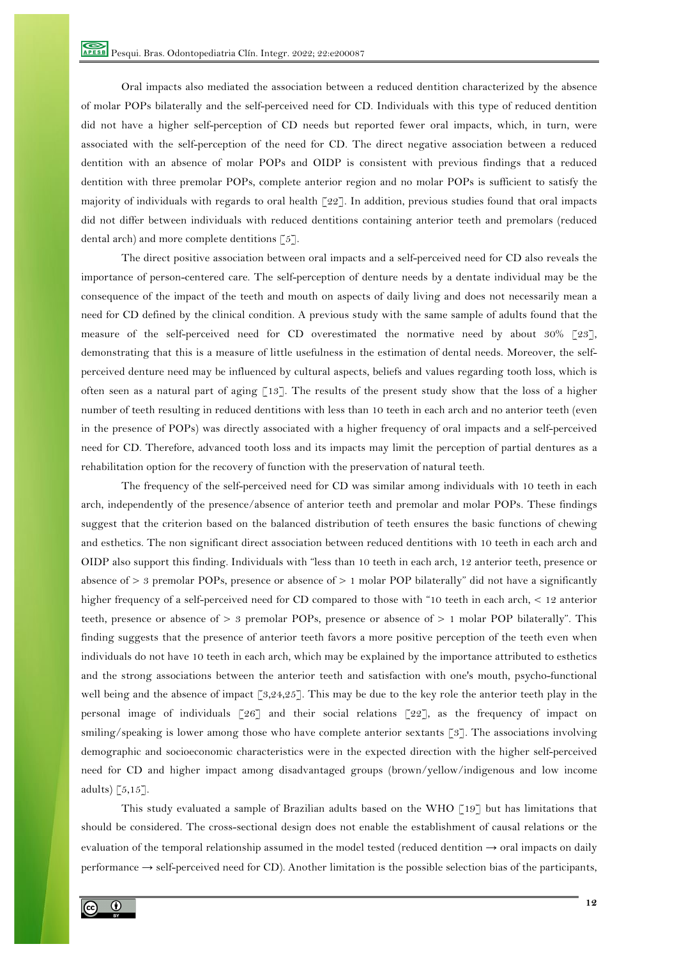Oral impacts also mediated the association between a reduced dentition characterized by the absence of molar POPs bilaterally and the self-perceived need for CD. Individuals with this type of reduced dentition did not have a higher self-perception of CD needs but reported fewer oral impacts, which, in turn, were associated with the self-perception of the need for CD. The direct negative association between a reduced dentition with an absence of molar POPs and OIDP is consistent with previous findings that a reduced dentition with three premolar POPs, complete anterior region and no molar POPs is sufficient to satisfy the majority of individuals with regards to oral health  $\lceil 22 \rceil$ . In addition, previous studies found that oral impacts did not differ between individuals with reduced dentitions containing anterior teeth and premolars (reduced dental arch) and more complete dentitions [5].

The direct positive association between oral impacts and a self-perceived need for CD also reveals the importance of person-centered care. The self-perception of denture needs by a dentate individual may be the consequence of the impact of the teeth and mouth on aspects of daily living and does not necessarily mean a need for CD defined by the clinical condition. A previous study with the same sample of adults found that the measure of the self-perceived need for CD overestimated the normative need by about 30% [23], demonstrating that this is a measure of little usefulness in the estimation of dental needs. Moreover, the selfperceived denture need may be influenced by cultural aspects, beliefs and values regarding tooth loss, which is often seen as a natural part of aging [13]. The results of the present study show that the loss of a higher number of teeth resulting in reduced dentitions with less than 10 teeth in each arch and no anterior teeth (even in the presence of POPs) was directly associated with a higher frequency of oral impacts and a self-perceived need for CD. Therefore, advanced tooth loss and its impacts may limit the perception of partial dentures as a rehabilitation option for the recovery of function with the preservation of natural teeth.

The frequency of the self-perceived need for CD was similar among individuals with 10 teeth in each arch, independently of the presence/absence of anterior teeth and premolar and molar POPs. These findings suggest that the criterion based on the balanced distribution of teeth ensures the basic functions of chewing and esthetics. The non significant direct association between reduced dentitions with 10 teeth in each arch and OIDP also support this finding. Individuals with "less than 10 teeth in each arch, 12 anterior teeth, presence or absence of > 3 premolar POPs, presence or absence of > 1 molar POP bilaterally" did not have a significantly higher frequency of a self-perceived need for CD compared to those with "10 teeth in each arch, < 12 anterior teeth, presence or absence of > 3 premolar POPs, presence or absence of > 1 molar POP bilaterally". This finding suggests that the presence of anterior teeth favors a more positive perception of the teeth even when individuals do not have 10 teeth in each arch, which may be explained by the importance attributed to esthetics and the strong associations between the anterior teeth and satisfaction with one's mouth, psycho-functional well being and the absence of impact [3,24,25]. This may be due to the key role the anterior teeth play in the personal image of individuals [26] and their social relations [22], as the frequency of impact on smiling/speaking is lower among those who have complete anterior sextants [3]. The associations involving demographic and socioeconomic characteristics were in the expected direction with the higher self-perceived need for CD and higher impact among disadvantaged groups (brown/yellow/indigenous and low income adults)  $[5,15]$ .

This study evaluated a sample of Brazilian adults based on the WHO [19] but has limitations that should be considered. The cross-sectional design does not enable the establishment of causal relations or the evaluation of the temporal relationship assumed in the model tested (reduced dentition  $\rightarrow$  oral impacts on daily performance  $\rightarrow$  self-perceived need for CD). Another limitation is the possible selection bias of the participants,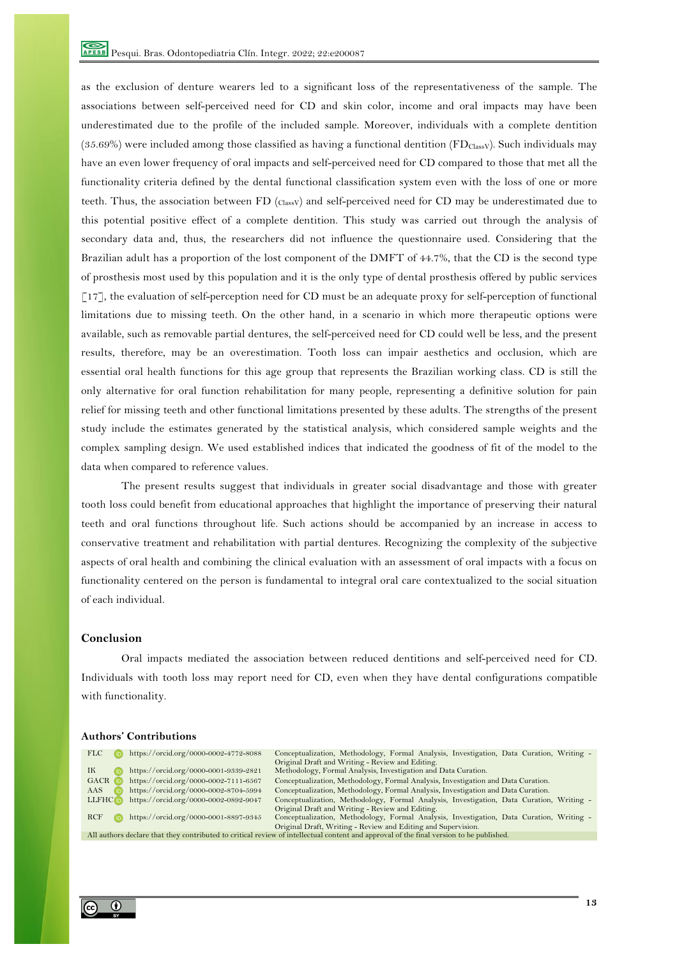as the exclusion of denture wearers led to a significant loss of the representativeness of the sample. The associations between self-perceived need for CD and skin color, income and oral impacts may have been underestimated due to the profile of the included sample. Moreover, individuals with a complete dentition (35.69%) were included among those classified as having a functional dentition ( $FD_{\text{Class}}$ ). Such individuals may have an even lower frequency of oral impacts and self-perceived need for CD compared to those that met all the functionality criteria defined by the dental functional classification system even with the loss of one or more teeth. Thus, the association between FD (ClassV) and self-perceived need for CD may be underestimated due to this potential positive effect of a complete dentition. This study was carried out through the analysis of secondary data and, thus, the researchers did not influence the questionnaire used. Considering that the Brazilian adult has a proportion of the lost component of the DMFT of 44.7%, that the CD is the second type of prosthesis most used by this population and it is the only type of dental prosthesis offered by public services [17], the evaluation of self-perception need for CD must be an adequate proxy for self-perception of functional limitations due to missing teeth. On the other hand, in a scenario in which more therapeutic options were available, such as removable partial dentures, the self-perceived need for CD could well be less, and the present results, therefore, may be an overestimation. Tooth loss can impair aesthetics and occlusion, which are essential oral health functions for this age group that represents the Brazilian working class. CD is still the only alternative for oral function rehabilitation for many people, representing a definitive solution for pain relief for missing teeth and other functional limitations presented by these adults. The strengths of the present study include the estimates generated by the statistical analysis, which considered sample weights and the complex sampling design. We used established indices that indicated the goodness of fit of the model to the data when compared to reference values.

The present results suggest that individuals in greater social disadvantage and those with greater tooth loss could benefit from educational approaches that highlight the importance of preserving their natural teeth and oral functions throughout life. Such actions should be accompanied by an increase in access to conservative treatment and rehabilitation with partial dentures. Recognizing the complexity of the subjective aspects of oral health and combining the clinical evaluation with an assessment of oral impacts with a focus on functionality centered on the person is fundamental to integral oral care contextualized to the social situation of each individual.

# **Conclusion**

Oral impacts mediated the association between reduced dentitions and self-perceived need for CD. Individuals with tooth loss may report need for CD, even when they have dental configurations compatible with functionality.

#### **Authors' Contributions**

| <b>FLC</b>           | https://orcid.org/0000-0002-4772-8088 | Conceptualization, Methodology, Formal Analysis, Investigation, Data Curation, Writing -                                                |
|----------------------|---------------------------------------|-----------------------------------------------------------------------------------------------------------------------------------------|
|                      |                                       | Original Draft and Writing - Review and Editing.                                                                                        |
| IК                   | https://orcid.org/0000-0001-9339-2821 | Methodology, Formal Analysis, Investigation and Data Curation.                                                                          |
| GACR <b>i</b> D      | https://orcid.org/0000-0002-7111-6567 | Conceptualization, Methodology, Formal Analysis, Investigation and Data Curation.                                                       |
| AAS                  | https://orcid.org/0000-0002-8704-5994 | Conceptualization, Methodology, Formal Analysis, Investigation and Data Curation.                                                       |
| LLFHC <sub>(D)</sub> | https://orcid.org/0000-0002-0892-9047 | Conceptualization, Methodology, Formal Analysis, Investigation, Data Curation, Writing -                                                |
|                      |                                       | Original Draft and Writing - Review and Editing.                                                                                        |
| <b>RCF</b>           | https://orcid.org/0000-0001-8897-9345 | Conceptualization, Methodology, Formal Analysis, Investigation, Data Curation, Writing -                                                |
|                      |                                       | Original Draft, Writing - Review and Editing and Supervision.                                                                           |
|                      |                                       | All authors declare that they contributed to critical review of intellectual content and approval of the final version to be published. |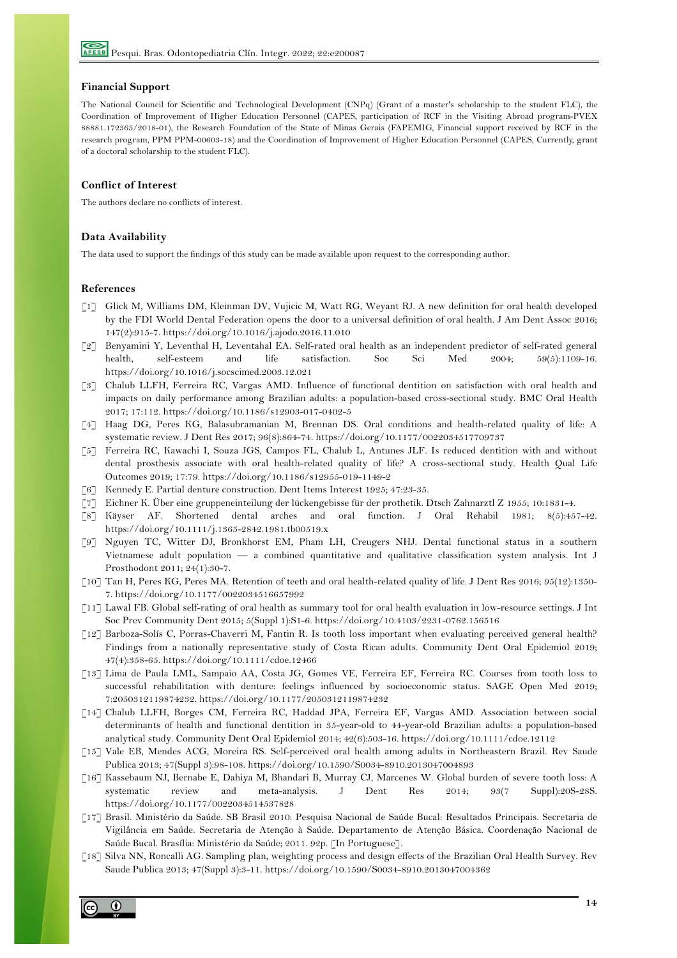# **Financial Support**

 The National Council for Scientific and Technological Development (CNPq) (Grant of a master's scholarship to the student FLC), the Coordination of Improvement of Higher Education Personnel (CAPES, participation of RCF in the Visiting Abroad program-PVEX 88881.172365/2018-01), the Research Foundation of the State of Minas Gerais (FAPEMIG, Financial support received by RCF in the research program, PPM PPM-00603-18) and the Coordination of Improvement of Higher Education Personnel (CAPES, Currently, grant of a doctoral scholarship to the student FLC).

## **Conflict of Interest**

The authors declare no conflicts of interest.

## **Data Availability**

The data used to support the findings of this study can be made available upon request to the corresponding author.

#### **References**

- [1] Glick M, Williams DM, Kleinman DV, Vujicic M, Watt RG, Weyant RJ. A new definition for oral health developed by the FDI World Dental Federation opens the door to a universal definition of oral health. J Am Dent Assoc 2016; 147(2):915-7. https://doi.org/10.1016/j.ajodo.2016.11.010
- [2] Benyamini Y, Leventhal H, Leventahal EA. Self-rated oral health as an independent predictor of self-rated general health, self-esteem and life satisfaction. Soc Sci Med 2004; 59(5):1109-16. https://doi.org/10.1016/j.socscimed.2003.12.021
- [3] Chalub LLFH, Ferreira RC, Vargas AMD. Influence of functional dentition on satisfaction with oral health and impacts on daily performance among Brazilian adults: a population-based cross-sectional study. BMC Oral Health 2017; 17:112. https://doi.org/10.1186/s12903-017-0402-5
- [4] Haag DG, Peres KG, Balasubramanian M, Brennan DS. Oral conditions and health-related quality of life: A systematic review. J Dent Res 2017; 96(8):864-74. https://doi.org/10.1177/0022034517709737
- [5] Ferreira RC, Kawachi I, Souza JGS, Campos FL, Chalub L, Antunes JLF. Is reduced dentition with and without dental prosthesis associate with oral health-related quality of life? A cross-sectional study. Health Qual Life Outcomes 2019; 17:79. https://doi.org/10.1186/s12955-019-1149-2
- [6] Kennedy E. Partial denture construction. Dent Items Interest 1925; 47:23-35.
- [7] Eichner K. Über eine gruppeneinteilung der lückengebisse für der prothetik. Dtsch Zahnarztl Z 1955; 10:1831-4.
- [8] Käyser AF. Shortened dental arches and oral function. J Oral Rehabil 1981; 8(5):457-42. https://doi.org/10.1111/j.1365-2842.1981.tb00519.x
- [9] Nguyen TC, Witter DJ, Bronkhorst EM, Pham LH, Creugers NHJ. Dental functional status in a southern Vietnamese adult population — a combined quantitative and qualitative classification system analysis. Int J Prosthodont 2011; 24(1):30-7.
- [10] Tan H, Peres KG, Peres MA. Retention of teeth and oral health-related quality of life. J Dent Res 2016; 95(12):1350- 7. https://doi.org/10.1177/0022034516657992
- [11] Lawal FB. Global self-rating of oral health as summary tool for oral health evaluation in low-resource settings. J Int Soc Prev Community Dent 2015; 5(Suppl 1):S1-6. https://doi.org/10.4103/2231-0762.156516
- [12] Barboza-Solís C, Porras-Chaverri M, Fantin R. Is tooth loss important when evaluating perceived general health? Findings from a nationally representative study of Costa Rican adults. Community Dent Oral Epidemiol 2019; 47(4):358-65. https://doi.org/10.1111/cdoe.12466
- [13] Lima de Paula LML, Sampaio AA, Costa JG, Gomes VE, Ferreira EF, Ferreira RC. Courses from tooth loss to successful rehabilitation with denture: feelings influenced by socioeconomic status. SAGE Open Med 2019; 7:2050312119874232. https://doi.org/10.1177/2050312119874232
- [14] Chalub LLFH, Borges CM, Ferreira RC, Haddad JPA, Ferreira EF, Vargas AMD. Association between social determinants of health and functional dentition in 35-year-old to 44-year-old Brazilian adults: a population-based analytical study. Community Dent Oral Epidemiol 2014; 42(6):503-16. https://doi.org/10.1111/cdoe.12112
- [15] Vale EB, Mendes ACG, Moreira RS. Self-perceived oral health among adults in Northeastern Brazil. Rev Saude Publica 2013; 47(Suppl 3):98-108. https://doi.org/10.1590/S0034-8910.2013047004893
- [16] Kassebaum NJ, Bernabe E, Dahiya M, Bhandari B, Murray CJ, Marcenes W. Global burden of severe tooth loss: A systematic review and meta-analysis. J Dent Res 2014; 93(7 Suppl):20S-28S. https://doi.org/10.1177/0022034514537828
- [17] Brasil. Ministério da Saúde. SB Brasil 2010: Pesquisa Nacional de Saúde Bucal: Resultados Principais. Secretaria de Vigilância em Saúde. Secretaria de Atenção à Saúde. Departamento de Atenção Básica. Coordenação Nacional de Saúde Bucal. Brasília: Ministério da Saúde; 2011. 92p. [In Portuguese].
- [18] Silva NN, Roncalli AG. Sampling plan, weighting process and design effects of the Brazilian Oral Health Survey. Rev Saude Publica 2013; 47(Suppl 3):3-11. https://doi.org/10.1590/S0034-8910.2013047004362